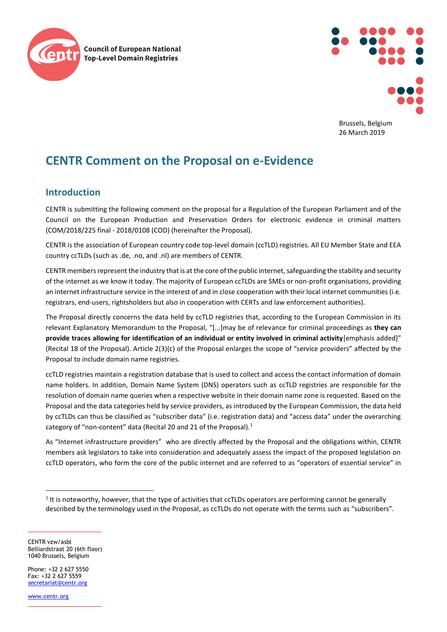



Brussels, Belgium 26 March 2019

# **CENTR Comment on the Proposal on e-Evidence**

# **Introduction**

CENTR is submitting the following comment on the proposal for a Regulation of the European Parliament and of the Council on the European Production and Preservation Orders for electronic evidence in criminal matters (COM/2018/225 final - 2018/0108 (COD) (hereinafter the Proposal).

CENTR is the association of European country code top-level domain (ccTLD) registries. All EU Member State and EEA country ccTLDs (such as .de, .no, and .nl) are members of CENTR.

CENTR members represent the industry that is at the core of the public internet, safeguarding the stability and security of the internet as we know it today. The majority of European ccTLDs are SMEs or non-profit organisations, providing an internet infrastructure service in the interest of and in close cooperation with their local internet communities (i.e. registrars, end-users, rightsholders but also in cooperation with CERTs and law enforcement authorities).

The Proposal directly concerns the data held by ccTLD registries that, according to the European Commission in its relevant Explanatory Memorandum to the Proposal, "[...]may be of relevance for criminal proceedings as **they can provide traces allowing for identification of an individual or entity involved in criminal activity**[emphasis added]" (Recital 18 of the Proposal). Article 2(3)(c) of the Proposal enlarges the scope of "service providers" affected by the Proposal to include domain name registries.

ccTLD registries maintain a registration database that is used to collect and access the contact information of domain name holders. In addition, Domain Name System (DNS) operators such as ccTLD registries are responsible for the resolution of domain name queries when a respective website in their domain name zone is requested. Based on the Proposal and the data categories held by service providers, as introduced by the European Commission, the data held by ccTLDs can thus be classified as "subscriber data" (i.e. registration data) and "access data" under the overarching category of "non-content" data (Recital 20 and 21 of the Proposal).<sup>1</sup>

As "Internet infrastructure providers" who are directly affected by the Proposal and the obligations within, CENTR members ask legislators to take into consideration and adequately assess the impact of the proposed legislation on ccTLD operators, who form the core of the public internet and are referred to as "operators of essential service" in

CENTR vzw/asbl Belliardstraat 20 (6th floor) 1040 Brussels, Belgium

Phone: +32 2 627 5550  $Fay: +32 2 627 5559$ [secretariat@centr.org](mailto:secretariat@centr.org)

[www.centr.org](http://www.centr.org/)

 $\overline{a}$ 

 $1$  It is noteworthy, however, that the type of activities that ccTLDs operators are performing cannot be generally described by the terminology used in the Proposal, as ccTLDs do not operate with the terms such as "subscribers".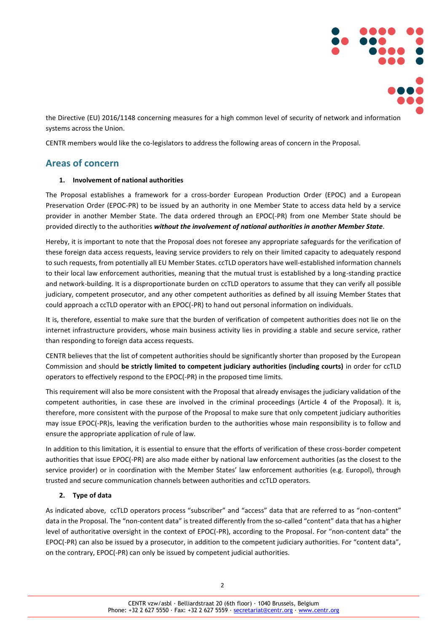

the Directive (EU) 2016/1148 concerning measures for a high common level of security of network and information systems across the Union.

CENTR members would like the co-legislators to address the following areas of concern in the Proposal.

## **Areas of concern**

#### **1. Involvement of national authorities**

The Proposal establishes a framework for a cross-border European Production Order (EPOC) and a European Preservation Order (EPOC-PR) to be issued by an authority in one Member State to access data held by a service provider in another Member State. The data ordered through an EPOC(-PR) from one Member State should be provided directly to the authorities *without the involvement of national authorities in another Member State.*

Hereby, it is important to note that the Proposal does not foresee any appropriate safeguards for the verification of these foreign data access requests, leaving service providers to rely on their limited capacity to adequately respond to such requests, from potentially all EU Member States. ccTLD operators have well-established information channels to their local law enforcement authorities, meaning that the mutual trust is established by a long-standing practice and network-building. It is a disproportionate burden on ccTLD operators to assume that they can verify all possible judiciary, competent prosecutor, and any other competent authorities as defined by all issuing Member States that could approach a ccTLD operator with an EPOC(-PR) to hand out personal information on individuals.

It is, therefore, essential to make sure that the burden of verification of competent authorities does not lie on the internet infrastructure providers, whose main business activity lies in providing a stable and secure service, rather than responding to foreign data access requests.

CENTR believes that the list of competent authorities should be significantly shorter than proposed by the European Commission and should **be strictly limited to competent judiciary authorities (including courts)** in order for ccTLD operators to effectively respond to the EPOC(-PR) in the proposed time limits.

This requirement will also be more consistent with the Proposal that already envisages the judiciary validation of the competent authorities, in case these are involved in the criminal proceedings (Article 4 of the Proposal). It is, therefore, more consistent with the purpose of the Proposal to make sure that only competent judiciary authorities may issue EPOC(-PR)s, leaving the verification burden to the authorities whose main responsibility is to follow and ensure the appropriate application of rule of law.

In addition to this limitation, it is essential to ensure that the efforts of verification of these cross-border competent authorities that issue EPOC(-PR) are also made either by national law enforcement authorities (as the closest to the service provider) or in coordination with the Member States' law enforcement authorities (e.g. Europol), through trusted and secure communication channels between authorities and ccTLD operators.

#### **2. Type of data**

As indicated above, ccTLD operators process "subscriber" and "access" data that are referred to as "non-content" data in the Proposal. The "non-content data" is treated differently from the so-called "content" data that has a higher level of authoritative oversight in the context of EPOC(-PR), according to the Proposal. For "non-content data" the EPOC(-PR) can also be issued by a prosecutor, in addition to the competent judiciary authorities. For "content data", on the contrary, EPOC(-PR) can only be issued by competent judicial authorities.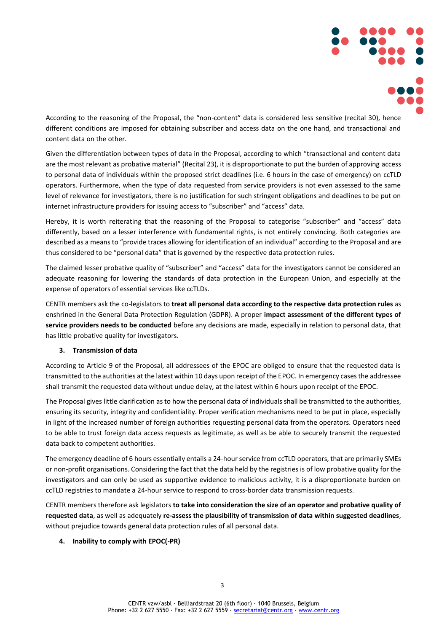

According to the reasoning of the Proposal, the "non-content" data is considered less sensitive (recital 30), hence different conditions are imposed for obtaining subscriber and access data on the one hand, and transactional and content data on the other.

Given the differentiation between types of data in the Proposal, according to which "transactional and content data are the most relevant as probative material" (Recital 23), it is disproportionate to put the burden of approving access to personal data of individuals within the proposed strict deadlines (i.e. 6 hours in the case of emergency) on ccTLD operators. Furthermore, when the type of data requested from service providers is not even assessed to the same level of relevance for investigators, there is no justification for such stringent obligations and deadlines to be put on internet infrastructure providers for issuing access to "subscriber" and "access" data.

Hereby, it is worth reiterating that the reasoning of the Proposal to categorise "subscriber" and "access" data differently, based on a lesser interference with fundamental rights, is not entirely convincing. Both categories are described as a means to "provide traces allowing for identification of an individual" according to the Proposal and are thus considered to be "personal data" that is governed by the respective data protection rules.

The claimed lesser probative quality of "subscriber" and "access" data for the investigators cannot be considered an adequate reasoning for lowering the standards of data protection in the European Union, and especially at the expense of operators of essential services like ccTLDs.

CENTR members ask the co-legislators to **treat all personal data according to the respective data protection rules** as enshrined in the General Data Protection Regulation (GDPR). A proper **impact assessment of the different types of service providers needs to be conducted** before any decisions are made, especially in relation to personal data, that has little probative quality for investigators.

## **3. Transmission of data**

According to Article 9 of the Proposal, all addressees of the EPOC are obliged to ensure that the requested data is transmitted to the authorities at the latest within 10 days upon receipt of the EPOC. In emergency cases the addressee shall transmit the requested data without undue delay, at the latest within 6 hours upon receipt of the EPOC.

The Proposal gives little clarification as to how the personal data of individuals shall be transmitted to the authorities, ensuring its security, integrity and confidentiality. Proper verification mechanisms need to be put in place, especially in light of the increased number of foreign authorities requesting personal data from the operators. Operators need to be able to trust foreign data access requests as legitimate, as well as be able to securely transmit the requested data back to competent authorities.

The emergency deadline of 6 hours essentially entails a 24-hour service from ccTLD operators, that are primarily SMEs or non-profit organisations. Considering the fact that the data held by the registries is of low probative quality for the investigators and can only be used as supportive evidence to malicious activity, it is a disproportionate burden on ccTLD registries to mandate a 24-hour service to respond to cross-border data transmission requests.

CENTR members therefore ask legislators **to take into consideration the size of an operator and probative quality of requested data**, as well as adequately **re-assess the plausibility of transmission of data within suggested deadlines**, without prejudice towards general data protection rules of all personal data.

## **4. Inability to comply with EPOC(-PR)**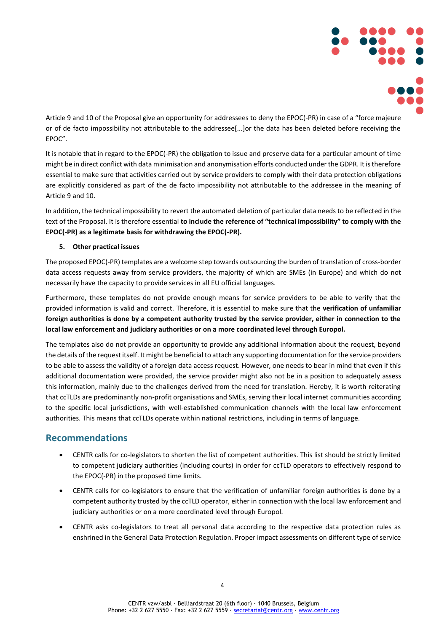

Article 9 and 10 of the Proposal give an opportunity for addressees to deny the EPOC(-PR) in case of a "force majeure or of de facto impossibility not attributable to the addressee[...]or the data has been deleted before receiving the EPOC".

It is notable that in regard to the EPOC(-PR) the obligation to issue and preserve data for a particular amount of time might be in direct conflict with data minimisation and anonymisation efforts conducted under the GDPR. It is therefore essential to make sure that activities carried out by service providers to comply with their data protection obligations are explicitly considered as part of the de facto impossibility not attributable to the addressee in the meaning of Article 9 and 10.

In addition, the technical impossibility to revert the automated deletion of particular data needs to be reflected in the text of the Proposal. It is therefore essential **to include the reference of "technical impossibility" to comply with the EPOC(-PR) as a legitimate basis for withdrawing the EPOC(-PR).** 

## **5. Other practical issues**

The proposed EPOC(-PR) templates are a welcome step towards outsourcing the burden of translation of cross-border data access requests away from service providers, the majority of which are SMEs (in Europe) and which do not necessarily have the capacity to provide services in all EU official languages.

Furthermore, these templates do not provide enough means for service providers to be able to verify that the provided information is valid and correct. Therefore, it is essential to make sure that the **verification of unfamiliar foreign authorities is done by a competent authority trusted by the service provider, either in connection to the local law enforcement and judiciary authorities or on a more coordinated level through Europol.**

The templates also do not provide an opportunity to provide any additional information about the request, beyond the details of the request itself. It might be beneficial to attach any supporting documentation for the service providers to be able to assess the validity of a foreign data access request. However, one needs to bear in mind that even if this additional documentation were provided, the service provider might also not be in a position to adequately assess this information, mainly due to the challenges derived from the need for translation. Hereby, it is worth reiterating that ccTLDs are predominantly non-profit organisations and SMEs, serving their local internet communities according to the specific local jurisdictions, with well-established communication channels with the local law enforcement authorities. This means that ccTLDs operate within national restrictions, including in terms of language.

# **Recommendations**

- CENTR calls for co-legislators to shorten the list of competent authorities. This list should be strictly limited to competent judiciary authorities (including courts) in order for ccTLD operators to effectively respond to the EPOC(-PR) in the proposed time limits.
- CENTR calls for co-legislators to ensure that the verification of unfamiliar foreign authorities is done by a competent authority trusted by the ccTLD operator, either in connection with the local law enforcement and judiciary authorities or on a more coordinated level through Europol.
- CENTR asks co-legislators to treat all personal data according to the respective data protection rules as enshrined in the General Data Protection Regulation. Proper impact assessments on different type of service